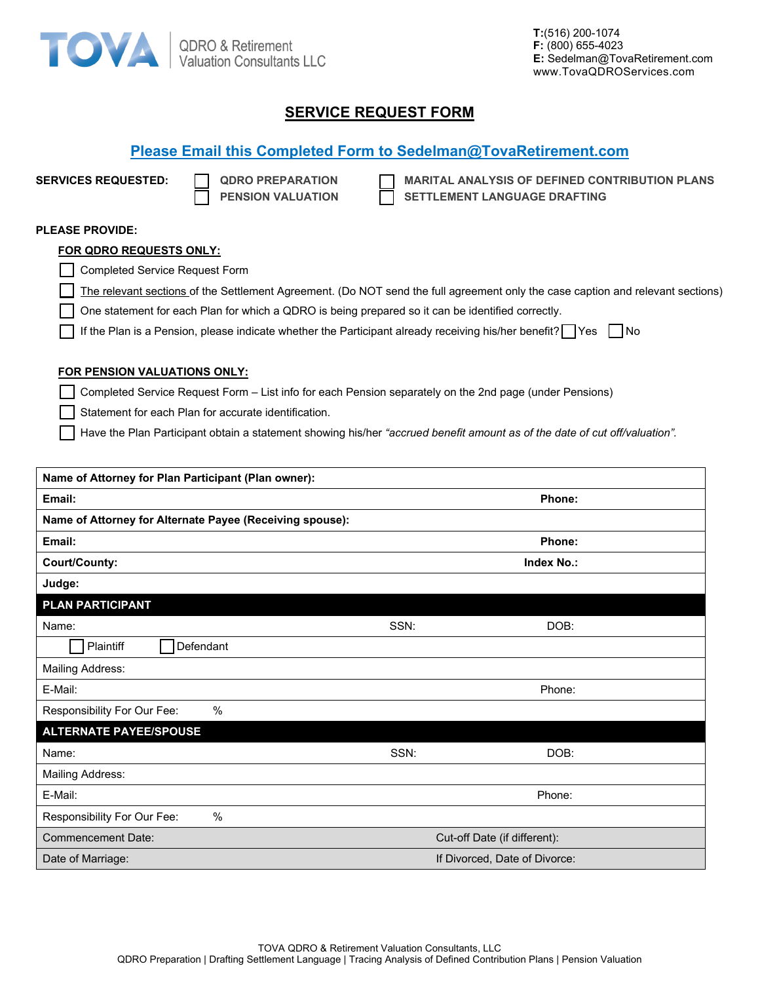

**T:**(516) 200-1074 **F:** (800) 655-4023 **E:** Sedelman@TovaRetirement.com www.TovaQDROServices.com

## **SERVICE REQUEST FORM**

| <b>SERVICES REQUESTED:</b>            | <b>MARITAL ANALYSIS OF DEFINED CONTRIBUTION PLANS</b><br><b>QDRO PREPARATION</b><br><b>PENSION VALUATION</b><br>SETTLEMENT LANGUAGE DRAFTING |
|---------------------------------------|----------------------------------------------------------------------------------------------------------------------------------------------|
|                                       |                                                                                                                                              |
| <b>PLEASE PROVIDE:</b>                |                                                                                                                                              |
| FOR QDRO REQUESTS ONLY:               |                                                                                                                                              |
| <b>Completed Service Request Form</b> |                                                                                                                                              |
|                                       | The relevant sections of the Settlement Agreement. (Do NOT send the full agreement only the case caption and relevant sections)              |
|                                       | One statement for each Plan for which a QDRO is being prepared so it can be identified correctly.                                            |
|                                       | If the Plan is a Pension, please indicate whether the Participant already receiving his/her benefit? $\Box$ Yes $\Box$ No                    |
| <b>FOR PENSION VALUATIONS ONLY:</b>   |                                                                                                                                              |
|                                       | Completed Service Request Form – List info for each Pension separately on the 2nd page (under Pensions)                                      |
|                                       | Statement for each Plan for accurate identification.                                                                                         |
|                                       | Have the Plan Participant obtain a statement showing his/her "accrued benefit amount as of the date of cut off/valuation".                   |
|                                       |                                                                                                                                              |
|                                       |                                                                                                                                              |

| Name of Attorney for Plan Participant (Plan owner):      |                               |  |  |
|----------------------------------------------------------|-------------------------------|--|--|
| Email:                                                   | Phone:                        |  |  |
| Name of Attorney for Alternate Payee (Receiving spouse): |                               |  |  |
| Email:                                                   | Phone:                        |  |  |
| Court/County:                                            | <b>Index No.:</b>             |  |  |
| Judge:                                                   |                               |  |  |
| <b>PLAN PARTICIPANT</b>                                  |                               |  |  |
| Name:                                                    | SSN:<br>DOB:                  |  |  |
| Defendant<br>Plaintiff                                   |                               |  |  |
| Mailing Address:                                         |                               |  |  |
| E-Mail:                                                  | Phone:                        |  |  |
| $\%$<br>Responsibility For Our Fee:                      |                               |  |  |
| <b>ALTERNATE PAYEE/SPOUSE</b>                            |                               |  |  |
| Name:                                                    | SSN:<br>DOB:                  |  |  |
| Mailing Address:                                         |                               |  |  |
| E-Mail:                                                  | Phone:                        |  |  |
| Responsibility For Our Fee:<br>$\frac{0}{0}$             |                               |  |  |
| <b>Commencement Date:</b>                                | Cut-off Date (if different):  |  |  |
| Date of Marriage:                                        | If Divorced, Date of Divorce: |  |  |